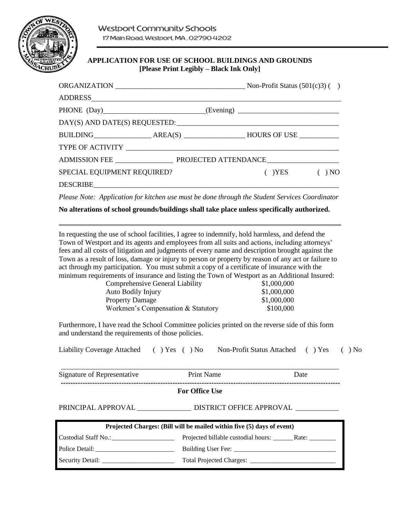

# **APPLICATION FOR USE OF SCHOOL BUILDINGS AND GROUNDS [Please Print Legibly – Black Ink Only]**

| ORGANIZATION $\_\_\_\_\_\_\_\_\_\_\_\_\$ Non-Profit Status (501(c)3) ()          |  |  |                  |  |
|----------------------------------------------------------------------------------|--|--|------------------|--|
|                                                                                  |  |  |                  |  |
| PHONE (Day)_____________________________(Evening)_______________________________ |  |  |                  |  |
|                                                                                  |  |  |                  |  |
|                                                                                  |  |  |                  |  |
|                                                                                  |  |  |                  |  |
|                                                                                  |  |  |                  |  |
| SPECIAL EQUIPMENT REQUIRED?                                                      |  |  | $(YES)$ $(9) NO$ |  |
|                                                                                  |  |  |                  |  |

*Please Note: Application for kitchen use must be done through the Student Services Coordinator*

**No alterations of school grounds/buildings shall take place unless specifically authorized.**

In requesting the use of school facilities, I agree to indemnify, hold harmless, and defend the Town of Westport and its agents and employees from all suits and actions, including attorneys' fees and all costs of litigation and judgments of every name and description brought against the Town as a result of loss, damage or injury to person or property by reason of any act or failure to act through my participation. You must submit a copy of a certificate of insurance with the minimum requirements of insurance and listing the Town of Westport as an Additional Insured:

| Comprehensive General Liability    | \$1,000,000 |
|------------------------------------|-------------|
| <b>Auto Bodily Injury</b>          | \$1,000,000 |
| <b>Property Damage</b>             | \$1,000,000 |
| Workmen's Compensation & Statutory | \$100,000   |

Furthermore, I have read the School Committee policies printed on the reverse side of this form and understand the requirements of those policies.

|  |  | Liability Coverage Attached () Yes () No Non-Profit Status Attached () Yes () No |  |  |
|--|--|----------------------------------------------------------------------------------|--|--|
|--|--|----------------------------------------------------------------------------------|--|--|

\_\_\_\_\_\_\_\_\_\_\_\_\_\_\_\_\_\_\_\_\_\_\_\_\_\_\_\_\_\_\_\_\_\_\_\_\_\_\_\_\_\_\_\_\_\_\_\_\_\_\_\_\_\_\_\_\_\_\_\_\_\_\_\_\_\_\_\_\_\_\_\_\_\_\_\_\_ Signature of Representative **Print Name** Date Date **-------------------------------------------------------------------------------------------------------------------**

**For Office Use**

PRINCIPAL APPROVAL \_\_\_\_\_\_\_\_\_\_\_\_\_\_\_ DISTRICT OFFICE APPROVAL \_\_\_\_\_\_\_\_\_\_\_\_

| Projected Charges: (Bill will be mailed within five (5) days of event) |  |  |  |  |
|------------------------------------------------------------------------|--|--|--|--|
|                                                                        |  |  |  |  |
| Police Detail:                                                         |  |  |  |  |
|                                                                        |  |  |  |  |